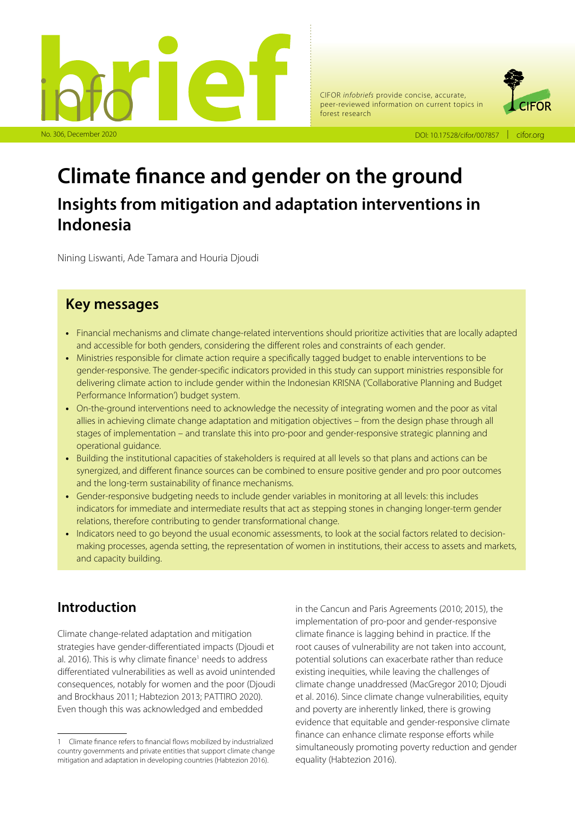

CIFOR *infobriefs* provide concise, accurate, peer-reviewed information on current topics in forest research



# **Climate finance and gender on the ground Insights from mitigation and adaptation interventions in Indonesia**

Nining Liswanti, Ade Tamara and Houria Djoudi

# **Key messages**

- **•** Financial mechanisms and climate change-related interventions should prioritize activities that are locally adapted and accessible for both genders, considering the different roles and constraints of each gender.
- **•** Ministries responsible for climate action require a specifically tagged budget to enable interventions to be gender-responsive. The gender-specific indicators provided in this study can support ministries responsible for delivering climate action to include gender within the Indonesian KRISNA ('Collaborative Planning and Budget Performance Information') budget system.
- **•** On-the-ground interventions need to acknowledge the necessity of integrating women and the poor as vital allies in achieving climate change adaptation and mitigation objectives – from the design phase through all stages of implementation – and translate this into pro-poor and gender-responsive strategic planning and operational guidance.
- **•** Building the institutional capacities of stakeholders is required at all levels so that plans and actions can be synergized, and different finance sources can be combined to ensure positive gender and pro poor outcomes and the long-term sustainability of finance mechanisms.
- **•** Gender-responsive budgeting needs to include gender variables in monitoring at all levels: this includes indicators for immediate and intermediate results that act as stepping stones in changing longer-term gender relations, therefore contributing to gender transformational change.
- **•** Indicators need to go beyond the usual economic assessments, to look at the social factors related to decisionmaking processes, agenda setting, the representation of women in institutions, their access to assets and markets, and capacity building.

# **Introduction**

Climate change-related adaptation and mitigation strategies have gender-differentiated impacts (Djoudi et al. 2016). This is why climate finance<sup>1</sup> needs to address differentiated vulnerabilities as well as avoid unintended consequences, notably for women and the poor (Djoudi and Brockhaus 2011; Habtezion 2013; PATTIRO 2020). Even though this was acknowledged and embedded

in the Cancun and Paris Agreements (2010; 2015), the implementation of pro-poor and gender-responsive climate finance is lagging behind in practice. If the root causes of vulnerability are not taken into account, potential solutions can exacerbate rather than reduce existing inequities, while leaving the challenges of climate change unaddressed (MacGregor 2010; Djoudi et al. 2016). Since climate change vulnerabilities, equity and poverty are inherently linked, there is growing evidence that equitable and gender-responsive climate finance can enhance climate response efforts while simultaneously promoting poverty reduction and gender equality (Habtezion 2016).

<sup>1</sup> Climate finance refers to financial flows mobilized by industrialized country governments and private entities that support climate change mitigation and adaptation in developing countries (Habtezion 2016).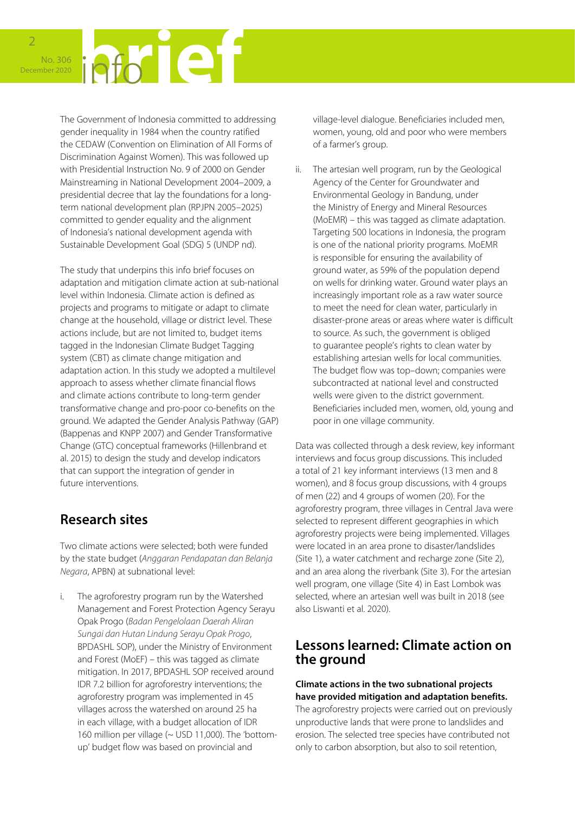The Government of Indonesia committed to addressing gender inequality in 1984 when the country ratified the CEDAW (Convention on Elimination of All Forms of Discrimination Against Women). This was followed up with Presidential Instruction No. 9 of 2000 on Gender Mainstreaming in National Development 2004–2009, a presidential decree that lay the foundations for a longterm national development plan (RPJPN 2005–2025) committed to gender equality and the alignment of Indonesia's national development agenda with Sustainable Development Goal (SDG) 5 (UNDP nd).

The study that underpins this info brief focuses on adaptation and mitigation climate action at sub-national level within Indonesia. Climate action is defined as projects and programs to mitigate or adapt to climate change at the household, village or district level. These actions include, but are not limited to, budget items tagged in the Indonesian Climate Budget Tagging system (CBT) as climate change mitigation and adaptation action. In this study we adopted a multilevel approach to assess whether climate financial flows and climate actions contribute to long-term gender transformative change and pro-poor co-benefits on the ground. We adapted the Gender Analysis Pathway (GAP) (Bappenas and KNPP 2007) and Gender Transformative Change (GTC) conceptual frameworks (Hillenbrand et al. 2015) to design the study and develop indicators that can support the integration of gender in future interventions.

# **Research sites**

Two climate actions were selected; both were funded by the state budget (*Anggaran Pendapatan dan Belanja Negara*, APBN) at subnational level:

i. The agroforestry program run by the Watershed Management and Forest Protection Agency Serayu Opak Progo (*Badan Pengelolaan Daerah Aliran Sungai dan Hutan Lindung Serayu Opak Progo*, BPDASHL SOP), under the Ministry of Environment and Forest (MoEF) – this was tagged as climate mitigation. In 2017, BPDASHL SOP received around IDR 7.2 billion for agroforestry interventions; the agroforestry program was implemented in 45 villages across the watershed on around 25 ha in each village, with a budget allocation of IDR 160 million per village (~ USD 11,000). The 'bottomup' budget flow was based on provincial and

village-level dialogue. Beneficiaries included men, women, young, old and poor who were members of a farmer's group.

ii. The artesian well program, run by the Geological Agency of the Center for Groundwater and Environmental Geology in Bandung, under the Ministry of Energy and Mineral Resources (MoEMR) – this was tagged as climate adaptation. Targeting 500 locations in Indonesia, the program is one of the national priority programs. MoEMR is responsible for ensuring the availability of ground water, as 59% of the population depend on wells for drinking water. Ground water plays an increasingly important role as a raw water source to meet the need for clean water, particularly in disaster-prone areas or areas where water is difficult to source. As such, the government is obliged to guarantee people's rights to clean water by establishing artesian wells for local communities. The budget flow was top–down; companies were subcontracted at national level and constructed wells were given to the district government. Beneficiaries included men, women, old, young and poor in one village community.

Data was collected through a desk review, key informant interviews and focus group discussions. This included a total of 21 key informant interviews (13 men and 8 women), and 8 focus group discussions, with 4 groups of men (22) and 4 groups of women (20). For the agroforestry program, three villages in Central Java were selected to represent different geographies in which agroforestry projects were being implemented. Villages were located in an area prone to disaster/landslides (Site 1), a water catchment and recharge zone (Site 2), and an area along the riverbank (Site 3). For the artesian well program, one village (Site 4) in East Lombok was selected, where an artesian well was built in 2018 (see also Liswanti et al. 2020).

# **Lessons learned: Climate action on the ground**

### **Climate actions in the two subnational projects have provided mitigation and adaptation benefits.**

The agroforestry projects were carried out on previously unproductive lands that were prone to landslides and erosion. The selected tree species have contributed not only to carbon absorption, but also to soil retention,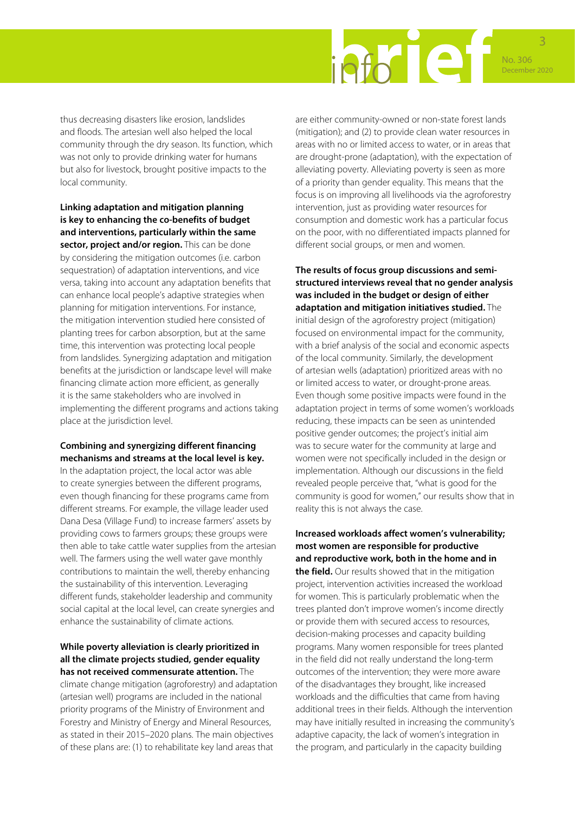

thus decreasing disasters like erosion, landslides and floods. The artesian well also helped the local community through the dry season. Its function, which was not only to provide drinking water for humans but also for livestock, brought positive impacts to the local community.

**Linking adaptation and mitigation planning is key to enhancing the co-benefits of budget and interventions, particularly within the same sector, project and/or region.** This can be done by considering the mitigation outcomes (i.e. carbon sequestration) of adaptation interventions, and vice versa, taking into account any adaptation benefits that can enhance local people's adaptive strategies when planning for mitigation interventions. For instance, the mitigation intervention studied here consisted of planting trees for carbon absorption, but at the same time, this intervention was protecting local people from landslides. Synergizing adaptation and mitigation benefits at the jurisdiction or landscape level will make financing climate action more efficient, as generally it is the same stakeholders who are involved in implementing the different programs and actions taking place at the jurisdiction level.

### **Combining and synergizing different financing mechanisms and streams at the local level is key.**

In the adaptation project, the local actor was able to create synergies between the different programs, even though financing for these programs came from different streams. For example, the village leader used Dana Desa (Village Fund) to increase farmers' assets by providing cows to farmers groups; these groups were then able to take cattle water supplies from the artesian well. The farmers using the well water gave monthly contributions to maintain the well, thereby enhancing the sustainability of this intervention. Leveraging different funds, stakeholder leadership and community social capital at the local level, can create synergies and enhance the sustainability of climate actions.

#### **While poverty alleviation is clearly prioritized in all the climate projects studied, gender equality has not received commensurate attention.** The

climate change mitigation (agroforestry) and adaptation (artesian well) programs are included in the national priority programs of the Ministry of Environment and Forestry and Ministry of Energy and Mineral Resources, as stated in their 2015–2020 plans. The main objectives of these plans are: (1) to rehabilitate key land areas that

are either community-owned or non-state forest lands (mitigation); and (2) to provide clean water resources in areas with no or limited access to water, or in areas that are drought-prone (adaptation), with the expectation of alleviating poverty. Alleviating poverty is seen as more of a priority than gender equality. This means that the focus is on improving all livelihoods via the agroforestry intervention, just as providing water resources for consumption and domestic work has a particular focus on the poor, with no differentiated impacts planned for different social groups, or men and women.

**The results of focus group discussions and semistructured interviews reveal that no gender analysis was included in the budget or design of either adaptation and mitigation initiatives studied.** The initial design of the agroforestry project (mitigation) focused on environmental impact for the community, with a brief analysis of the social and economic aspects of the local community. Similarly, the development of artesian wells (adaptation) prioritized areas with no or limited access to water, or drought-prone areas. Even though some positive impacts were found in the adaptation project in terms of some women's workloads reducing, these impacts can be seen as unintended positive gender outcomes; the project's initial aim was to secure water for the community at large and women were not specifically included in the design or implementation. Although our discussions in the field revealed people perceive that, "what is good for the community is good for women," our results show that in reality this is not always the case.

### **Increased workloads affect women's vulnerability; most women are responsible for productive and reproductive work, both in the home and in**

**the field.** Our results showed that in the mitigation project, intervention activities increased the workload for women. This is particularly problematic when the trees planted don't improve women's income directly or provide them with secured access to resources, decision-making processes and capacity building programs. Many women responsible for trees planted in the field did not really understand the long-term outcomes of the intervention; they were more aware of the disadvantages they brought, like increased workloads and the difficulties that came from having additional trees in their fields. Although the intervention may have initially resulted in increasing the community's adaptive capacity, the lack of women's integration in the program, and particularly in the capacity building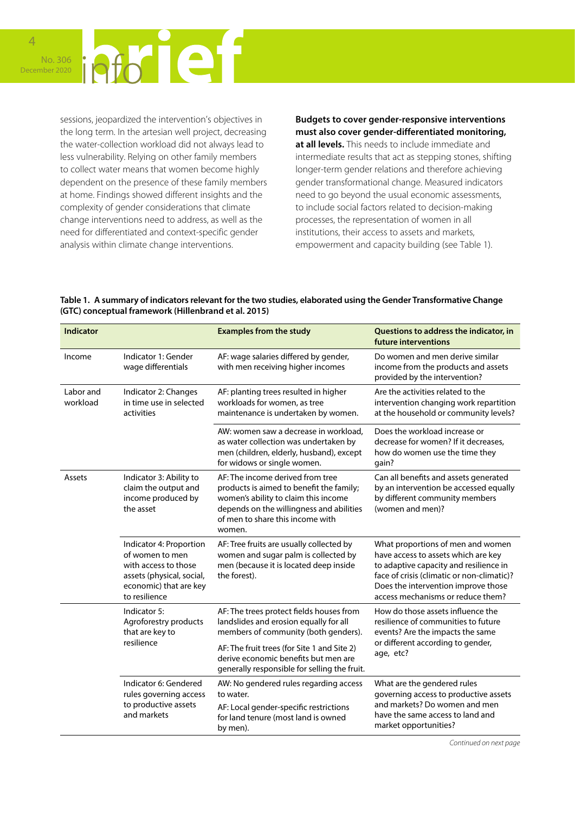

sessions, jeopardized the intervention's objectives in the long term. In the artesian well project, decreasing the water-collection workload did not always lead to less vulnerability. Relying on other family members to collect water means that women become highly dependent on the presence of these family members at home. Findings showed different insights and the complexity of gender considerations that climate change interventions need to address, as well as the need for differentiated and context-specific gender analysis within climate change interventions.

**Budgets to cover gender-responsive interventions must also cover gender-differentiated monitoring, at all levels.** This needs to include immediate and intermediate results that act as stepping stones, shifting longer-term gender relations and therefore achieving gender transformational change. Measured indicators need to go beyond the usual economic assessments, to include social factors related to decision-making processes, the representation of women in all institutions, their access to assets and markets, empowerment and capacity building (see Table 1).

**Table 1. A summary of indicators relevant for the two studies, elaborated using the Gender Transformative Change (GTC) conceptual framework (Hillenbrand et al. 2015)**

| <b>Indicator</b>      |                                                                                                                                            | <b>Examples from the study</b>                                                                                                                                                                                 | Questions to address the indicator, in<br>future interventions                                                                                                                                                                               |
|-----------------------|--------------------------------------------------------------------------------------------------------------------------------------------|----------------------------------------------------------------------------------------------------------------------------------------------------------------------------------------------------------------|----------------------------------------------------------------------------------------------------------------------------------------------------------------------------------------------------------------------------------------------|
| Income                | Indicator 1: Gender<br>wage differentials                                                                                                  | AF: wage salaries differed by gender,<br>with men receiving higher incomes                                                                                                                                     | Do women and men derive similar<br>income from the products and assets<br>provided by the intervention?                                                                                                                                      |
| Labor and<br>workload | Indicator 2: Changes<br>in time use in selected<br>activities                                                                              | AF: planting trees resulted in higher<br>workloads for women, as tree<br>maintenance is undertaken by women.                                                                                                   | Are the activities related to the<br>intervention changing work repartition<br>at the household or community levels?                                                                                                                         |
|                       |                                                                                                                                            | AW: women saw a decrease in workload.<br>as water collection was undertaken by<br>men (children, elderly, husband), except<br>for widows or single women.                                                      | Does the workload increase or<br>decrease for women? If it decreases,<br>how do women use the time they<br>qain?                                                                                                                             |
| Assets                | Indicator 3: Ability to<br>claim the output and<br>income produced by<br>the asset                                                         | AF: The income derived from tree<br>products is aimed to benefit the family;<br>women's ability to claim this income<br>depends on the willingness and abilities<br>of men to share this income with<br>women. | Can all benefits and assets generated<br>by an intervention be accessed equally<br>by different community members<br>(women and men)?                                                                                                        |
|                       | Indicator 4: Proportion<br>of women to men<br>with access to those<br>assets (physical, social,<br>economic) that are key<br>to resilience | AF: Tree fruits are usually collected by<br>women and sugar palm is collected by<br>men (because it is located deep inside<br>the forest).                                                                     | What proportions of men and women<br>have access to assets which are key<br>to adaptive capacity and resilience in<br>face of crisis (climatic or non-climatic)?<br>Does the intervention improve those<br>access mechanisms or reduce them? |
|                       | Indicator 5:<br>Agroforestry products<br>that are key to<br>resilience                                                                     | AF: The trees protect fields houses from<br>landslides and erosion equally for all<br>members of community (both genders).                                                                                     | How do those assets influence the<br>resilience of communities to future<br>events? Are the impacts the same<br>or different according to gender,<br>age, etc?                                                                               |
|                       |                                                                                                                                            | AF: The fruit trees (for Site 1 and Site 2)<br>derive economic benefits but men are<br>generally responsible for selling the fruit.                                                                            |                                                                                                                                                                                                                                              |
|                       | Indicator 6: Gendered<br>rules governing access<br>to productive assets<br>and markets                                                     | AW: No gendered rules regarding access<br>to water.                                                                                                                                                            | What are the gendered rules<br>governing access to productive assets<br>and markets? Do women and men<br>have the same access to land and<br>market opportunities?                                                                           |
|                       |                                                                                                                                            | AF: Local gender-specific restrictions<br>for land tenure (most land is owned<br>by men).                                                                                                                      |                                                                                                                                                                                                                                              |

*Continued on next page*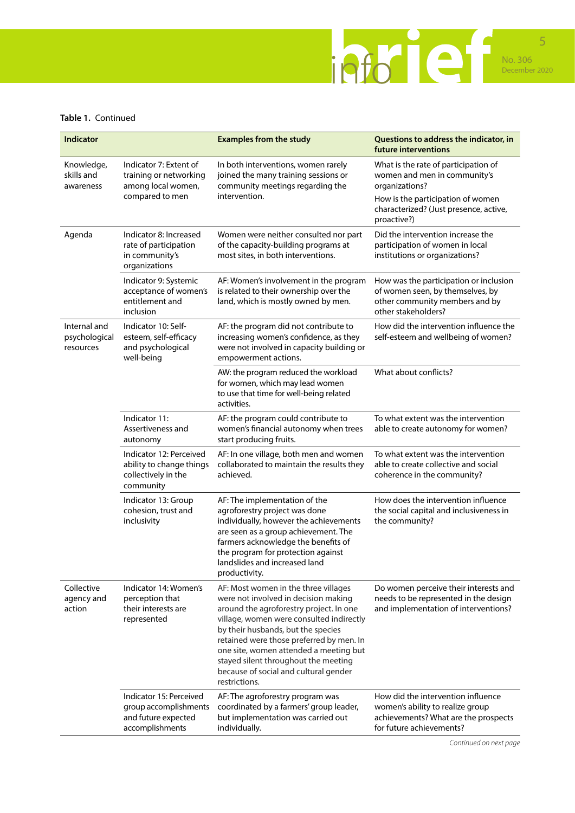

### **Table 1.** Continued

| <b>Indicator</b>                           |                                                                                            | <b>Examples from the study</b>                                                                                                                                                                                                                                                                                                                                                                    | Questions to address the indicator, in<br>future interventions                                                                             |
|--------------------------------------------|--------------------------------------------------------------------------------------------|---------------------------------------------------------------------------------------------------------------------------------------------------------------------------------------------------------------------------------------------------------------------------------------------------------------------------------------------------------------------------------------------------|--------------------------------------------------------------------------------------------------------------------------------------------|
| Knowledge,<br>skills and<br>awareness      | Indicator 7: Extent of<br>training or networking<br>among local women,<br>compared to men  | In both interventions, women rarely<br>joined the many training sessions or<br>community meetings regarding the<br>intervention.                                                                                                                                                                                                                                                                  | What is the rate of participation of<br>women and men in community's<br>organizations?                                                     |
|                                            |                                                                                            |                                                                                                                                                                                                                                                                                                                                                                                                   | How is the participation of women<br>characterized? (Just presence, active,<br>proactive?)                                                 |
| Agenda                                     | Indicator 8: Increased<br>rate of participation<br>in community's<br>organizations         | Women were neither consulted nor part<br>of the capacity-building programs at<br>most sites, in both interventions.                                                                                                                                                                                                                                                                               | Did the intervention increase the<br>participation of women in local<br>institutions or organizations?                                     |
|                                            | Indicator 9: Systemic<br>acceptance of women's<br>entitlement and<br>inclusion             | AF: Women's involvement in the program<br>is related to their ownership over the<br>land, which is mostly owned by men.                                                                                                                                                                                                                                                                           | How was the participation or inclusion<br>of women seen, by themselves, by<br>other community members and by<br>other stakeholders?        |
| Internal and<br>psychological<br>resources | Indicator 10: Self-<br>esteem, self-efficacy<br>and psychological<br>well-being            | AF: the program did not contribute to<br>increasing women's confidence, as they<br>were not involved in capacity building or<br>empowerment actions.                                                                                                                                                                                                                                              | How did the intervention influence the<br>self-esteem and wellbeing of women?                                                              |
|                                            |                                                                                            | AW: the program reduced the workload<br>for women, which may lead women<br>to use that time for well-being related<br>activities.                                                                                                                                                                                                                                                                 | What about conflicts?                                                                                                                      |
|                                            | Indicator 11:<br>Assertiveness and<br>autonomy                                             | AF: the program could contribute to<br>women's financial autonomy when trees<br>start producing fruits.                                                                                                                                                                                                                                                                                           | To what extent was the intervention<br>able to create autonomy for women?                                                                  |
|                                            | Indicator 12: Perceived<br>ability to change things<br>collectively in the<br>community    | AF: In one village, both men and women<br>collaborated to maintain the results they<br>achieved.                                                                                                                                                                                                                                                                                                  | To what extent was the intervention<br>able to create collective and social<br>coherence in the community?                                 |
|                                            | Indicator 13: Group<br>cohesion, trust and<br>inclusivity                                  | AF: The implementation of the<br>agroforestry project was done<br>individually, however the achievements<br>are seen as a group achievement. The<br>farmers acknowledge the benefits of<br>the program for protection against<br>landslides and increased land<br>productivity.                                                                                                                   | How does the intervention influence<br>the social capital and inclusiveness in<br>the community?                                           |
| Collective<br>agency and<br>action         | Indicator 14: Women's<br>perception that<br>their interests are<br>represented             | AF: Most women in the three villages<br>were not involved in decision making<br>around the agroforestry project. In one<br>village, women were consulted indirectly<br>by their husbands, but the species<br>retained were those preferred by men. In<br>one site, women attended a meeting but<br>stayed silent throughout the meeting<br>because of social and cultural gender<br>restrictions. | Do women perceive their interests and<br>needs to be represented in the design<br>and implementation of interventions?                     |
|                                            | Indicator 15: Perceived<br>group accomplishments<br>and future expected<br>accomplishments | AF: The agroforestry program was<br>coordinated by a farmers' group leader,<br>but implementation was carried out<br>individually.                                                                                                                                                                                                                                                                | How did the intervention influence<br>women's ability to realize group<br>achievements? What are the prospects<br>for future achievements? |

*Continued on next page*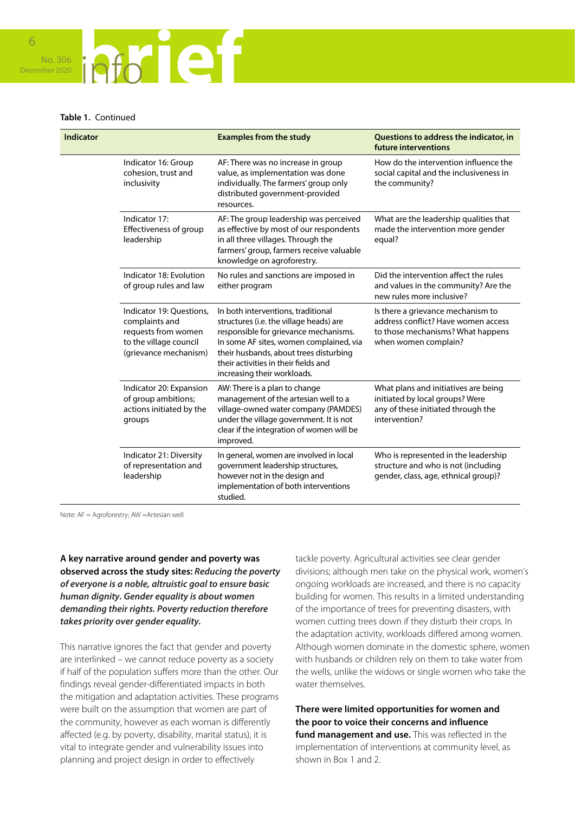

#### **Table 1.** Continued

| <b>Indicator</b> |                                                                                                                      | <b>Examples from the study</b>                                                                                                                                                                                                                                                     | Questions to address the indicator, in<br>future interventions                                                                        |
|------------------|----------------------------------------------------------------------------------------------------------------------|------------------------------------------------------------------------------------------------------------------------------------------------------------------------------------------------------------------------------------------------------------------------------------|---------------------------------------------------------------------------------------------------------------------------------------|
|                  | Indicator 16: Group<br>cohesion, trust and<br>inclusivity                                                            | AF: There was no increase in group<br>value, as implementation was done<br>individually. The farmers' group only<br>distributed government-provided<br>resources.                                                                                                                  | How do the intervention influence the<br>social capital and the inclusiveness in<br>the community?                                    |
|                  | Indicator 17:<br>Effectiveness of group<br>leadership                                                                | AF: The group leadership was perceived<br>as effective by most of our respondents<br>in all three villages. Through the<br>farmers' group, farmers receive valuable<br>knowledge on agroforestry.                                                                                  | What are the leadership qualities that<br>made the intervention more gender<br>equal?                                                 |
|                  | Indicator 18: Evolution<br>of group rules and law                                                                    | No rules and sanctions are imposed in<br>either program                                                                                                                                                                                                                            | Did the intervention affect the rules<br>and values in the community? Are the<br>new rules more inclusive?                            |
|                  | Indicator 19: Questions,<br>complaints and<br>requests from women<br>to the village council<br>(grievance mechanism) | In both interventions, traditional<br>structures (i.e. the village heads) are<br>responsible for grievance mechanisms.<br>In some AF sites, women complained, via<br>their husbands, about trees disturbing<br>their activities in their fields and<br>increasing their workloads. | Is there a grievance mechanism to<br>address conflict? Have women access<br>to those mechanisms? What happens<br>when women complain? |
|                  | Indicator 20: Expansion<br>of group ambitions;<br>actions initiated by the<br>groups                                 | AW: There is a plan to change<br>management of the artesian well to a<br>village-owned water company (PAMDES)<br>under the village government. It is not<br>clear if the integration of women will be<br>improved.                                                                 | What plans and initiatives are being<br>initiated by local groups? Were<br>any of these initiated through the<br>intervention?        |
|                  | Indicator 21: Diversity<br>of representation and<br>leadership                                                       | In general, women are involved in local<br>government leadership structures,<br>however not in the design and<br>implementation of both interventions<br>studied.                                                                                                                  | Who is represented in the leadership<br>structure and who is not (including<br>gender, class, age, ethnical group)?                   |

Note: AF = Agroforestry; AW =Artesian well

**A key narrative around gender and poverty was observed across the study sites:** *Reducing the poverty of everyone is a noble, altruistic goal to ensure basic human dignity. Gender equality is about women demanding their rights. Poverty reduction therefore takes priority over gender equality.* 

This narrative ignores the fact that gender and poverty are interlinked – we cannot reduce poverty as a society if half of the population suffers more than the other. Our findings reveal gender-differentiated impacts in both the mitigation and adaptation activities. These programs were built on the assumption that women are part of the community, however as each woman is differently affected (e.g. by poverty, disability, marital status), it is vital to integrate gender and vulnerability issues into planning and project design in order to effectively

tackle poverty. Agricultural activities see clear gender divisions; although men take on the physical work, women's ongoing workloads are increased, and there is no capacity building for women. This results in a limited understanding of the importance of trees for preventing disasters, with women cutting trees down if they disturb their crops. In the adaptation activity, workloads differed among women. Although women dominate in the domestic sphere, women with husbands or children rely on them to take water from the wells, unlike the widows or single women who take the water themselves.

**There were limited opportunities for women and the poor to voice their concerns and influence fund management and use.** This was reflected in the implementation of interventions at community level, as shown in Box 1 and 2.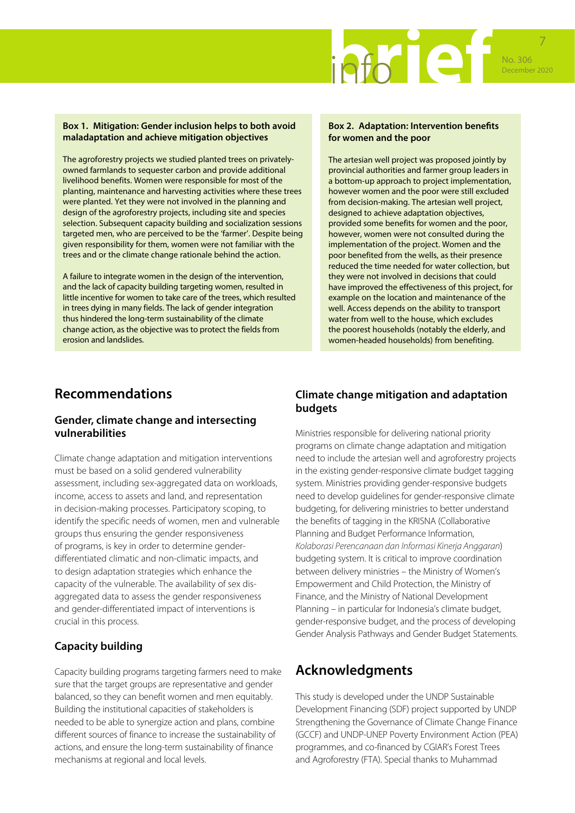

#### **Box 1. Mitigation: Gender inclusion helps to both avoid maladaptation and achieve mitigation objectives**

The agroforestry projects we studied planted trees on privatelyowned farmlands to sequester carbon and provide additional livelihood benefits. Women were responsible for most of the planting, maintenance and harvesting activities where these trees were planted. Yet they were not involved in the planning and design of the agroforestry projects, including site and species selection. Subsequent capacity building and socialization sessions targeted men, who are perceived to be the 'farmer'. Despite being given responsibility for them, women were not familiar with the trees and or the climate change rationale behind the action.

A failure to integrate women in the design of the intervention, and the lack of capacity building targeting women, resulted in little incentive for women to take care of the trees, which resulted in trees dying in many fields. The lack of gender integration thus hindered the long-term sustainability of the climate change action, as the objective was to protect the fields from erosion and landslides.

#### **Box 2. Adaptation: Intervention benefits for women and the poor**

The artesian well project was proposed jointly by provincial authorities and farmer group leaders in a bottom-up approach to project implementation, however women and the poor were still excluded from decision-making. The artesian well project, designed to achieve adaptation objectives, provided some benefits for women and the poor, however, women were not consulted during the implementation of the project. Women and the poor benefited from the wells, as their presence reduced the time needed for water collection, but they were not involved in decisions that could have improved the effectiveness of this project, for example on the location and maintenance of the well. Access depends on the ability to transport water from well to the house, which excludes the poorest households (notably the elderly, and women-headed households) from benefiting.

### **Recommendations**

### **Gender, climate change and intersecting vulnerabilities**

Climate change adaptation and mitigation interventions must be based on a solid gendered vulnerability assessment, including sex-aggregated data on workloads, income, access to assets and land, and representation in decision-making processes. Participatory scoping, to identify the specific needs of women, men and vulnerable groups thus ensuring the gender responsiveness of programs, is key in order to determine genderdifferentiated climatic and non-climatic impacts, and to design adaptation strategies which enhance the capacity of the vulnerable. The availability of sex disaggregated data to assess the gender responsiveness and gender-differentiated impact of interventions is crucial in this process.

### **Capacity building**

Capacity building programs targeting farmers need to make sure that the target groups are representative and gender balanced, so they can benefit women and men equitably. Building the institutional capacities of stakeholders is needed to be able to synergize action and plans, combine different sources of finance to increase the sustainability of actions, and ensure the long-term sustainability of finance mechanisms at regional and local levels.

### **Climate change mitigation and adaptation budgets**

Ministries responsible for delivering national priority programs on climate change adaptation and mitigation need to include the artesian well and agroforestry projects in the existing gender-responsive climate budget tagging system. Ministries providing gender-responsive budgets need to develop guidelines for gender-responsive climate budgeting, for delivering ministries to better understand the benefits of tagging in the KRISNA (Collaborative Planning and Budget Performance Information, *Kolaborasi Perencanaan dan Informasi Kinerja Anggaran*) budgeting system. It is critical to improve coordination between delivery ministries – the Ministry of Women's Empowerment and Child Protection, the Ministry of Finance, and the Ministry of National Development Planning – in particular for Indonesia's climate budget, gender-responsive budget, and the process of developing Gender Analysis Pathways and Gender Budget Statements.

# **Acknowledgments**

This study is developed under the UNDP Sustainable Development Financing (SDF) project supported by UNDP Strengthening the Governance of Climate Change Finance (GCCF) and UNDP-UNEP Poverty Environment Action (PEA) programmes, and co-financed by CGIAR's Forest Trees and Agroforestry (FTA). Special thanks to Muhammad